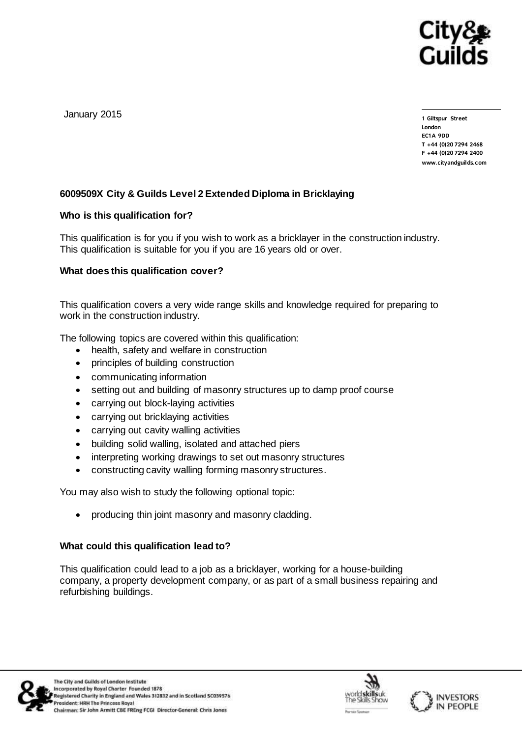

January 2015

1 Giltspur Street **London EC1A 9DD** T +44 (0) 20 7 294 2468 **T +44 (0)20 7294 2468** www.cityandguilds.com

**www.cityandguilds.com**

# **6009509X City & Guilds Level 2 Extended Diploma in Bricklaying**

# **Who is this qualification for?**

This qualification is for you if you wish to work as a bricklayer in the construction industry. This qualification is suitable for you if you are 16 years old or over.

# **What does this qualification cover?**

This qualification covers a very wide range skills and knowledge required for preparing to work in the construction industry.

The following topics are covered within this qualification:

- health, safety and welfare in construction
- principles of building construction
- communicating information
- setting out and building of masonry structures up to damp proof course
- carrying out block-laying activities
- carrying out bricklaying activities
- carrying out cavity walling activities
- building solid walling, isolated and attached piers
- interpreting working drawings to set out masonry structures
- constructing cavity walling forming masonry structures.

You may also wish to study the following optional topic:

producing thin joint masonry and masonry cladding.

## **What could this qualification lead to?**

This qualification could lead to a job as a bricklayer, working for a house-building company, a property development company, or as part of a small business repairing and refurbishing buildings.